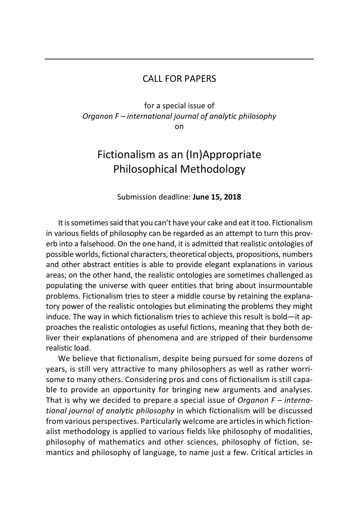## CALL FOR PAPERS

for a special issue of *Organon F – international journal of analytic philosophy* on

## Fictionalism as an (In)Appropriate Philosophical Methodology

## Submission deadline: **June 15, 2018**

It is sometimes said that you can't have your cake and eat it too. Fictionalism in various fields of philosophy can be regarded as an attempt to turn this proverb into a falsehood. On the one hand, it is admitted that realistic ontologies of possible worlds, fictional characters, theoretical objects, propositions, numbers and other abstract entities is able to provide elegant explanations in various areas; on the other hand, the realistic ontologies are sometimes challenged as populating the universe with queer entities that bring about insurmountable problems. Fictionalism tries to steer a middle course by retaining the explanatory power of the realistic ontologies but eliminating the problems they might induce. The way in which fictionalism tries to achieve this result is bold—it approaches the realistic ontologies as useful fictions, meaning that they both deliver their explanations of phenomena and are stripped of their burdensome realistic load.

We believe that fictionalism, despite being pursued for some dozens of years, is still very attractive to many philosophers as well as rather worrisome to many others. Considering pros and cons of fictionalism is still capable to provide an opportunity for bringing new arguments and analyses. That is why we decided to prepare a special issue of *Organon F – international journal of analytic philosophy* in which fictionalism will be discussed from various perspectives. Particularly welcome are articles in which fictionalist methodology is applied to various fields like philosophy of modalities, philosophy of mathematics and other sciences, philosophy of fiction, semantics and philosophy of language, to name just a few. Critical articles in